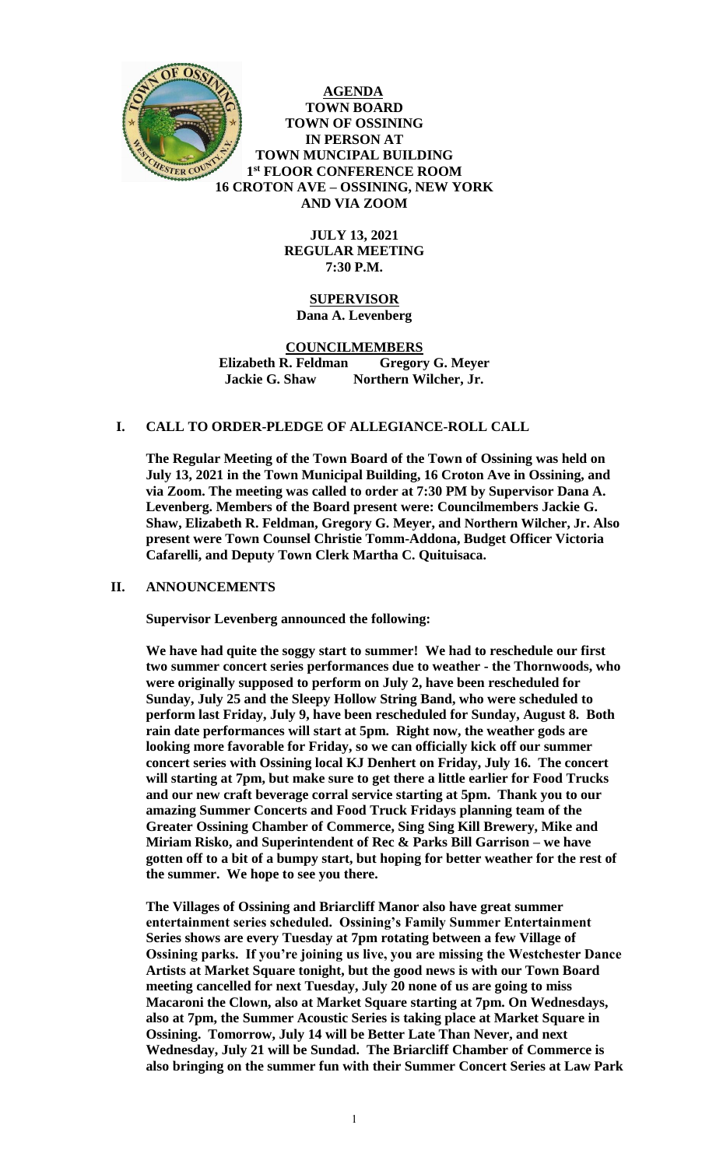

**AGENDA TOWN BOARD TOWN OF OSSINING IN PERSON AT TOWN MUNCIPAL BUILDING 1 st FLOOR CONFERENCE ROOM 16 CROTON AVE – OSSINING, NEW YORK AND VIA ZOOM**

> **JULY 13, 2021 REGULAR MEETING 7:30 P.M.**

## **SUPERVISOR Dana A. Levenberg**

#### **COUNCILMEMBERS Elizabeth R. Feldman Gregory G. Meyer Jackie G. Shaw Northern Wilcher, Jr.**

## **I. CALL TO ORDER-PLEDGE OF ALLEGIANCE-ROLL CALL**

**The Regular Meeting of the Town Board of the Town of Ossining was held on July 13, 2021 in the Town Municipal Building, 16 Croton Ave in Ossining, and via Zoom. The meeting was called to order at 7:30 PM by Supervisor Dana A. Levenberg. Members of the Board present were: Councilmembers Jackie G. Shaw, Elizabeth R. Feldman, Gregory G. Meyer, and Northern Wilcher, Jr. Also present were Town Counsel Christie Tomm-Addona, Budget Officer Victoria Cafarelli, and Deputy Town Clerk Martha C. Quituisaca.**

#### **II. ANNOUNCEMENTS**

**Supervisor Levenberg announced the following:** 

**We have had quite the soggy start to summer! We had to reschedule our first two summer concert series performances due to weather - the Thornwoods, who were originally supposed to perform on July 2, have been rescheduled for Sunday, July 25 and the Sleepy Hollow String Band, who were scheduled to perform last Friday, July 9, have been rescheduled for Sunday, August 8. Both rain date performances will start at 5pm. Right now, the weather gods are looking more favorable for Friday, so we can officially kick off our summer concert series with Ossining local KJ Denhert on Friday, July 16. The concert will starting at 7pm, but make sure to get there a little earlier for Food Trucks and our new craft beverage corral service starting at 5pm. Thank you to our amazing Summer Concerts and Food Truck Fridays planning team of the Greater Ossining Chamber of Commerce, Sing Sing Kill Brewery, Mike and Miriam Risko, and Superintendent of Rec & Parks Bill Garrison – we have gotten off to a bit of a bumpy start, but hoping for better weather for the rest of the summer. We hope to see you there.** 

**The Villages of Ossining and Briarcliff Manor also have great summer entertainment series scheduled. Ossining's Family Summer Entertainment Series shows are every Tuesday at 7pm rotating between a few Village of Ossining parks. If you're joining us live, you are missing the Westchester Dance Artists at Market Square tonight, but the good news is with our Town Board meeting cancelled for next Tuesday, July 20 none of us are going to miss Macaroni the Clown, also at Market Square starting at 7pm. On Wednesdays, also at 7pm, the Summer Acoustic Series is taking place at Market Square in Ossining. Tomorrow, July 14 will be Better Late Than Never, and next Wednesday, July 21 will be Sundad. The Briarcliff Chamber of Commerce is also bringing on the summer fun with their Summer Concert Series at Law Park**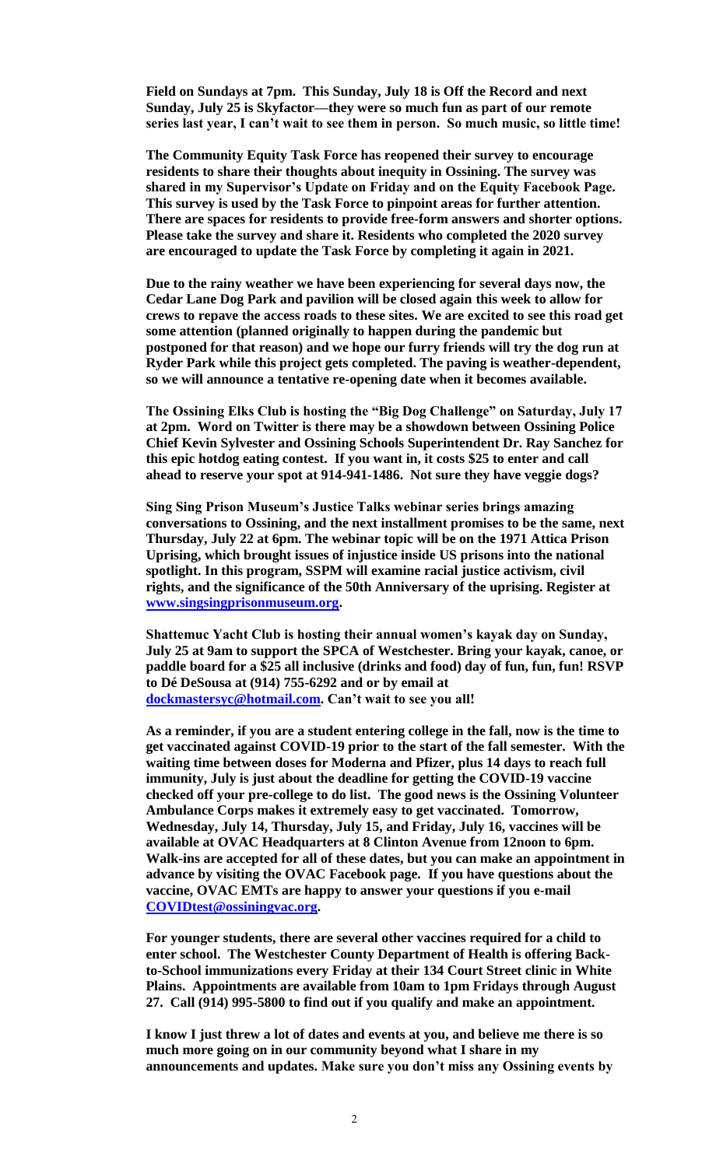**Field on Sundays at 7pm. This Sunday, July 18 is Off the Record and next Sunday, July 25 is Skyfactor—they were so much fun as part of our remote series last year, I can't wait to see them in person. So much music, so little time!** 

**The Community Equity Task Force has reopened their survey to encourage residents to share their thoughts about inequity in Ossining. The survey was shared in my Supervisor's Update on Friday and on the Equity Facebook Page. This survey is used by the Task Force to pinpoint areas for further attention. There are spaces for residents to provide free-form answers and shorter options. Please take the survey and share it. Residents who completed the 2020 survey are encouraged to update the Task Force by completing it again in 2021.**

**Due to the rainy weather we have been experiencing for several days now, the Cedar Lane Dog Park and pavilion will be closed again this week to allow for crews to repave the access roads to these sites. We are excited to see this road get some attention (planned originally to happen during the pandemic but postponed for that reason) and we hope our furry friends will try the dog run at Ryder Park while this project gets completed. The paving is weather-dependent, so we will announce a tentative re-opening date when it becomes available.** 

**The Ossining Elks Club is hosting the "Big Dog Challenge" on Saturday, July 17 at 2pm. Word on Twitter is there may be a showdown between Ossining Police Chief Kevin Sylvester and Ossining Schools Superintendent Dr. Ray Sanchez for this epic hotdog eating contest. If you want in, it costs \$25 to enter and call ahead to reserve your spot at 914-941-1486. Not sure they have veggie dogs?**

**Sing Sing Prison Museum's Justice Talks webinar series brings amazing conversations to Ossining, and the next installment promises to be the same, next Thursday, July 22 at 6pm. The webinar topic will be on the 1971 Attica Prison Uprising, which brought issues of injustice inside US prisons into the national spotlight. In this program, SSPM will examine racial justice activism, civil rights, and the significance of the 50th Anniversary of the uprising. Register at [www.singsingprisonmuseum.org.](http://www.singsingprisonmuseum.org/)** 

**Shattemuc Yacht Club is hosting their annual women's kayak day on Sunday, July 25 at 9am to support the SPCA of Westchester. Bring your kayak, canoe, or paddle board for a \$25 all inclusive (drinks and food) day of fun, fun, fun! RSVP to Dé DeSousa at (914) 755-6292 and or by email at [dockmastersyc@hotmail.com.](mailto:dockmastersyc@hotmail.com) Can't wait to see you all!**

**As a reminder, if you are a student entering college in the fall, now is the time to get vaccinated against COVID-19 prior to the start of the fall semester. With the waiting time between doses for Moderna and Pfizer, plus 14 days to reach full immunity, July is just about the deadline for getting the COVID-19 vaccine checked off your pre-college to do list. The good news is the Ossining Volunteer Ambulance Corps makes it extremely easy to get vaccinated. Tomorrow, Wednesday, July 14, Thursday, July 15, and Friday, July 16, vaccines will be available at OVAC Headquarters at 8 Clinton Avenue from 12noon to 6pm. Walk-ins are accepted for all of these dates, but you can make an appointment in advance by visiting the OVAC Facebook page. If you have questions about the vaccine, OVAC EMTs are happy to answer your questions if you e-mail [COVIDtest@ossiningvac.org.](mailto:COVIDtest@ossiningvac.org)** 

**For younger students, there are several other vaccines required for a child to enter school. The Westchester County Department of Health is offering Backto-School immunizations every Friday at their 134 Court Street clinic in White Plains. Appointments are available from 10am to 1pm Fridays through August 27. Call (914) 995-5800 to find out if you qualify and make an appointment.** 

**I know I just threw a lot of dates and events at you, and believe me there is so much more going on in our community beyond what I share in my announcements and updates. Make sure you don't miss any Ossining events by**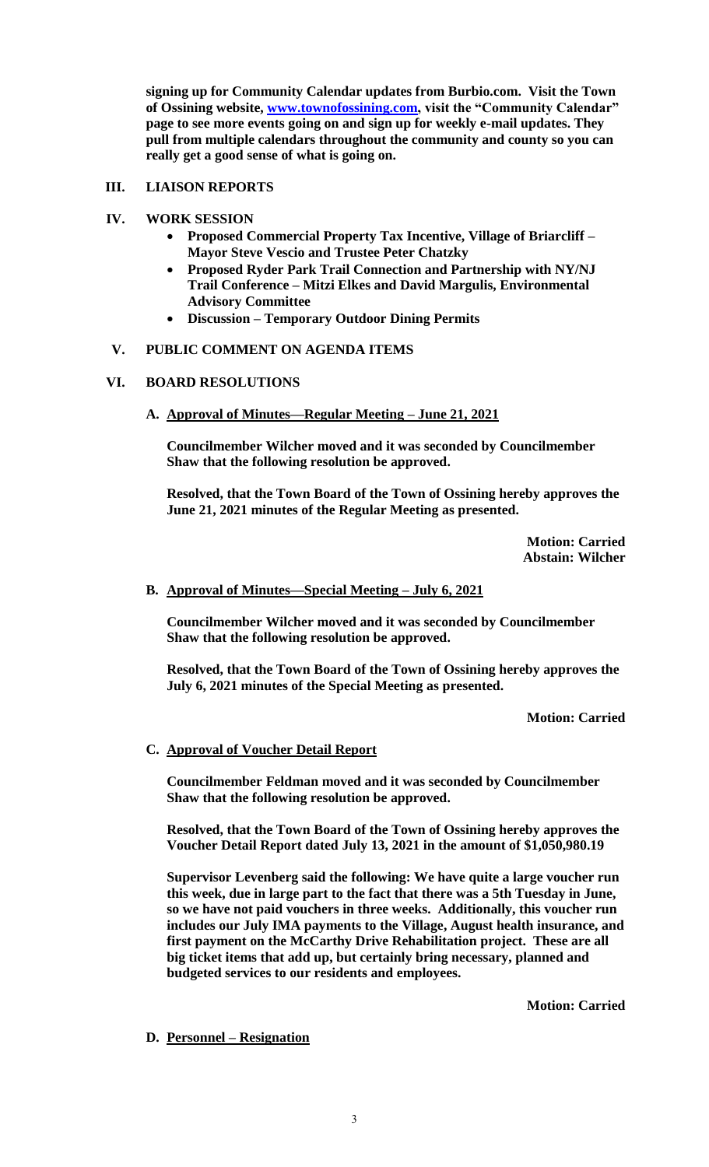**signing up for Community Calendar updates from Burbio.com. Visit the Town of Ossining website, [www.townofossining.com,](http://www.townofossining.com/) visit the "Community Calendar" page to see more events going on and sign up for weekly e-mail updates. They pull from multiple calendars throughout the community and county so you can really get a good sense of what is going on.**

## **III. LIAISON REPORTS**

- **IV. WORK SESSION**
	- **Proposed Commercial Property Tax Incentive, Village of Briarcliff – Mayor Steve Vescio and Trustee Peter Chatzky**
	- **Proposed Ryder Park Trail Connection and Partnership with NY/NJ Trail Conference – Mitzi Elkes and David Margulis, Environmental Advisory Committee**
	- **Discussion – Temporary Outdoor Dining Permits**

# **V. PUBLIC COMMENT ON AGENDA ITEMS**

# **VI. BOARD RESOLUTIONS**

**A. Approval of Minutes—Regular Meeting – June 21, 2021**

**Councilmember Wilcher moved and it was seconded by Councilmember Shaw that the following resolution be approved.** 

**Resolved, that the Town Board of the Town of Ossining hereby approves the June 21, 2021 minutes of the Regular Meeting as presented.**

> **Motion: Carried Abstain: Wilcher**

## **B. Approval of Minutes—Special Meeting – July 6, 2021**

**Councilmember Wilcher moved and it was seconded by Councilmember Shaw that the following resolution be approved.** 

**Resolved, that the Town Board of the Town of Ossining hereby approves the July 6, 2021 minutes of the Special Meeting as presented.**

**Motion: Carried**

## **C. Approval of Voucher Detail Report**

**Councilmember Feldman moved and it was seconded by Councilmember Shaw that the following resolution be approved.** 

**Resolved, that the Town Board of the Town of Ossining hereby approves the Voucher Detail Report dated July 13, 2021 in the amount of \$1,050,980.19**

**Supervisor Levenberg said the following: We have quite a large voucher run this week, due in large part to the fact that there was a 5th Tuesday in June, so we have not paid vouchers in three weeks. Additionally, this voucher run includes our July IMA payments to the Village, August health insurance, and first payment on the McCarthy Drive Rehabilitation project. These are all big ticket items that add up, but certainly bring necessary, planned and budgeted services to our residents and employees.** 

**Motion: Carried**

## **D. Personnel – Resignation**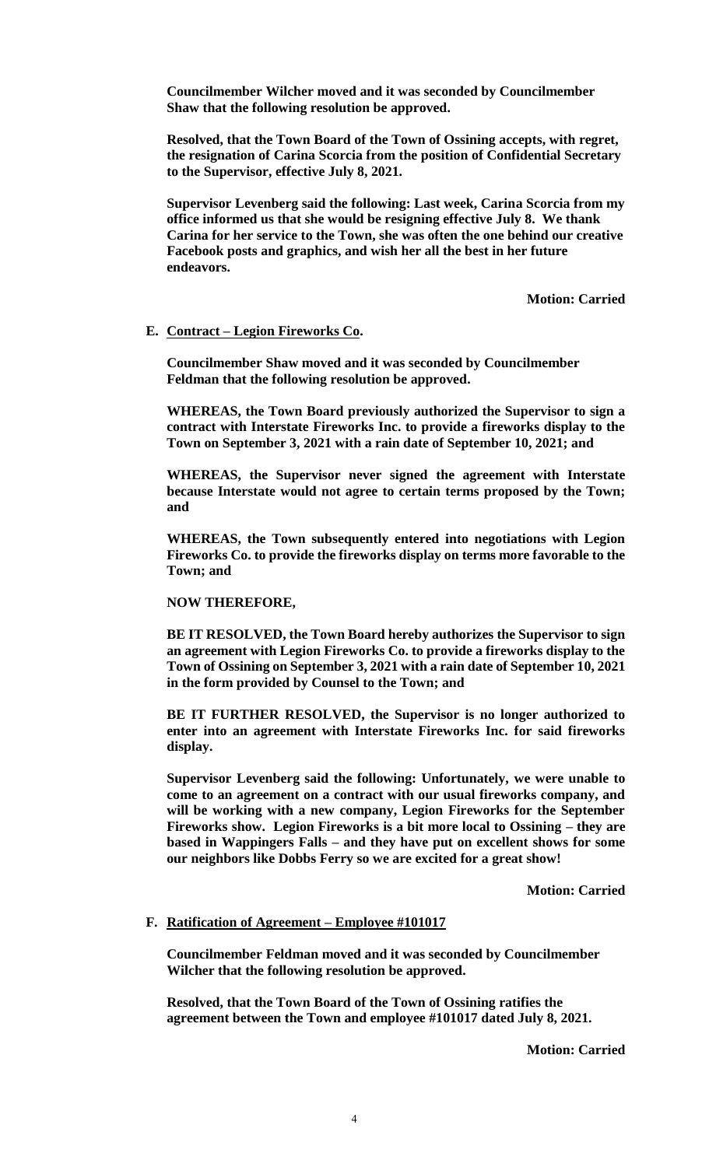**Councilmember Wilcher moved and it was seconded by Councilmember Shaw that the following resolution be approved.** 

**Resolved, that the Town Board of the Town of Ossining accepts, with regret, the resignation of Carina Scorcia from the position of Confidential Secretary to the Supervisor, effective July 8, 2021.** 

**Supervisor Levenberg said the following: Last week, Carina Scorcia from my office informed us that she would be resigning effective July 8. We thank Carina for her service to the Town, she was often the one behind our creative Facebook posts and graphics, and wish her all the best in her future endeavors.**

**Motion: Carried**

## **E. Contract – Legion Fireworks Co.**

**Councilmember Shaw moved and it was seconded by Councilmember Feldman that the following resolution be approved.** 

**WHEREAS, the Town Board previously authorized the Supervisor to sign a contract with Interstate Fireworks Inc. to provide a fireworks display to the Town on September 3, 2021 with a rain date of September 10, 2021; and**

**WHEREAS, the Supervisor never signed the agreement with Interstate because Interstate would not agree to certain terms proposed by the Town; and**

**WHEREAS, the Town subsequently entered into negotiations with Legion Fireworks Co. to provide the fireworks display on terms more favorable to the Town; and**

**NOW THEREFORE,**

**BE IT RESOLVED, the Town Board hereby authorizes the Supervisor to sign an agreement with Legion Fireworks Co. to provide a fireworks display to the Town of Ossining on September 3, 2021 with a rain date of September 10, 2021 in the form provided by Counsel to the Town; and**

**BE IT FURTHER RESOLVED, the Supervisor is no longer authorized to enter into an agreement with Interstate Fireworks Inc. for said fireworks display.**

**Supervisor Levenberg said the following: Unfortunately, we were unable to come to an agreement on a contract with our usual fireworks company, and will be working with a new company, Legion Fireworks for the September Fireworks show. Legion Fireworks is a bit more local to Ossining – they are based in Wappingers Falls – and they have put on excellent shows for some our neighbors like Dobbs Ferry so we are excited for a great show!**

**Motion: Carried**

## **F. Ratification of Agreement – Employee #101017**

**Councilmember Feldman moved and it was seconded by Councilmember Wilcher that the following resolution be approved.** 

**Resolved, that the Town Board of the Town of Ossining ratifies the agreement between the Town and employee #101017 dated July 8, 2021.**

**Motion: Carried**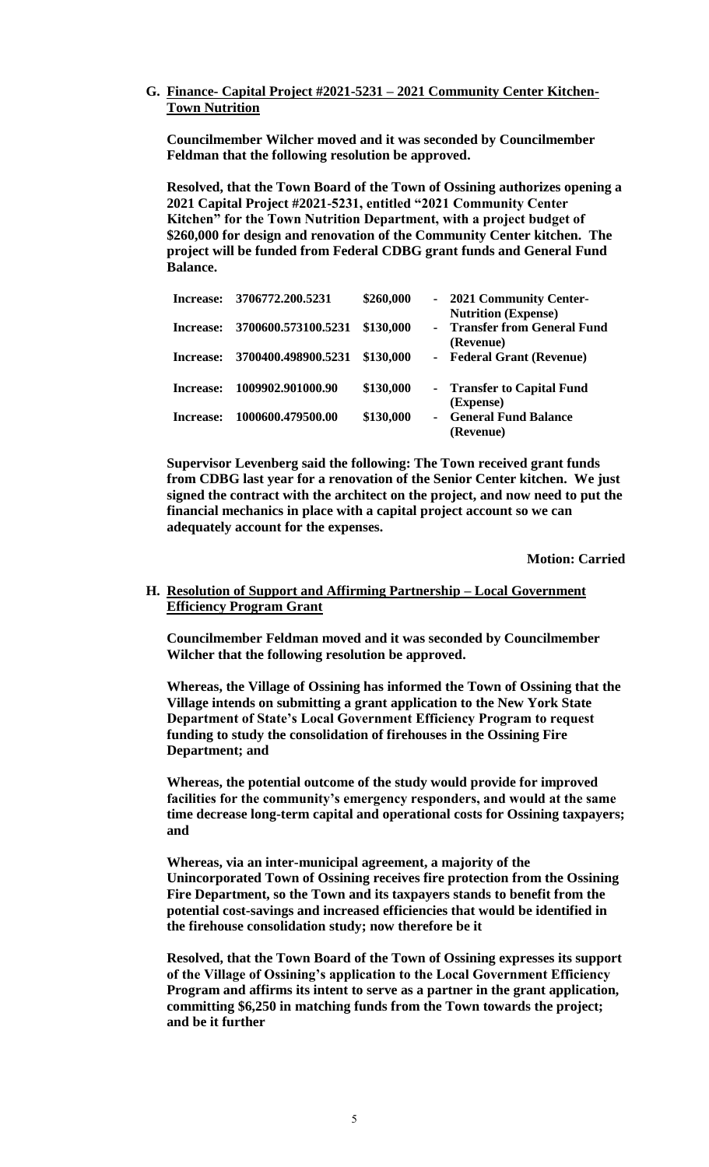## **G. Finance- Capital Project #2021-5231 – 2021 Community Center Kitchen-Town Nutrition**

**Councilmember Wilcher moved and it was seconded by Councilmember Feldman that the following resolution be approved.** 

**Resolved, that the Town Board of the Town of Ossining authorizes opening a 2021 Capital Project #2021-5231, entitled "2021 Community Center Kitchen" for the Town Nutrition Department, with a project budget of \$260,000 for design and renovation of the Community Center kitchen. The project will be funded from Federal CDBG grant funds and General Fund Balance.** 

| Increase:        | 3706772.200.5231    | \$260,000 |                | - 2021 Community Center-<br><b>Nutrition (Expense)</b> |
|------------------|---------------------|-----------|----------------|--------------------------------------------------------|
| Increase:        | 3700600.573100.5231 | \$130,000 |                | - Transfer from General Fund<br>(Revenue)              |
| Increase:        | 3700400.498900.5231 | \$130,000 | $\blacksquare$ | <b>Federal Grant (Revenue)</b>                         |
| <b>Increase:</b> | 1009902.901000.90   | \$130,000 |                | - Transfer to Capital Fund<br>(Expense)                |
| Increase:        | 1000600.479500.00   | \$130,000 |                | <b>General Fund Balance</b><br>(Revenue)               |

**Supervisor Levenberg said the following: The Town received grant funds from CDBG last year for a renovation of the Senior Center kitchen. We just signed the contract with the architect on the project, and now need to put the financial mechanics in place with a capital project account so we can adequately account for the expenses.**

**Motion: Carried**

#### **H. Resolution of Support and Affirming Partnership – Local Government Efficiency Program Grant**

**Councilmember Feldman moved and it was seconded by Councilmember Wilcher that the following resolution be approved.** 

**Whereas, the Village of Ossining has informed the Town of Ossining that the Village intends on submitting a grant application to the New York State Department of State's Local Government Efficiency Program to request funding to study the consolidation of firehouses in the Ossining Fire Department; and**

**Whereas, the potential outcome of the study would provide for improved facilities for the community's emergency responders, and would at the same time decrease long-term capital and operational costs for Ossining taxpayers; and** 

**Whereas, via an inter-municipal agreement, a majority of the Unincorporated Town of Ossining receives fire protection from the Ossining Fire Department, so the Town and its taxpayers stands to benefit from the potential cost-savings and increased efficiencies that would be identified in the firehouse consolidation study; now therefore be it**

**Resolved, that the Town Board of the Town of Ossining expresses its support of the Village of Ossining's application to the Local Government Efficiency Program and affirms its intent to serve as a partner in the grant application, committing \$6,250 in matching funds from the Town towards the project; and be it further**